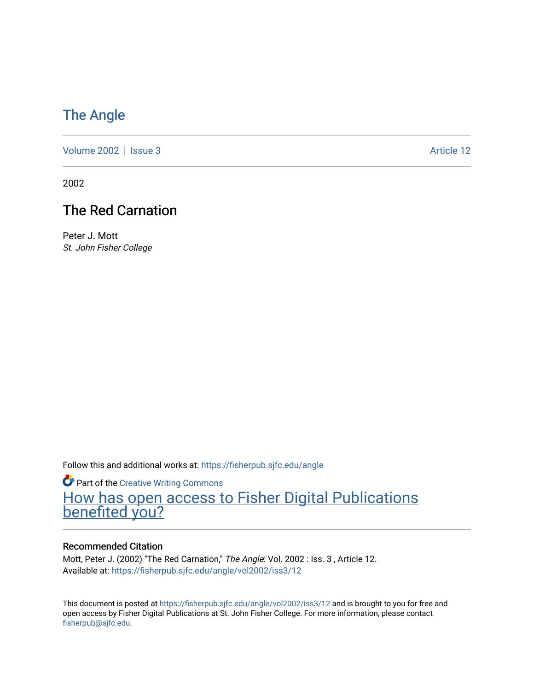## [The Angle](https://fisherpub.sjfc.edu/angle)

[Volume 2002](https://fisherpub.sjfc.edu/angle/vol2002) | [Issue 3](https://fisherpub.sjfc.edu/angle/vol2002/iss3) Article 12

2002

## The Red Carnation

Peter J. Mott St. John Fisher College

Follow this and additional works at: [https://fisherpub.sjfc.edu/angle](https://fisherpub.sjfc.edu/angle?utm_source=fisherpub.sjfc.edu%2Fangle%2Fvol2002%2Fiss3%2F12&utm_medium=PDF&utm_campaign=PDFCoverPages)

**Part of the Creative Writing Commons** [How has open access to Fisher Digital Publications](https://docs.google.com/forms/d/14zrnDfH9d1wcdq8oG_-gFabAsxfcH5claltx85ZWyTg/viewform?entry.1394608989=https://fisherpub.sjfc.edu/angle/vol2002/iss3/12%3Chttps://docs.google.com/forms/d/14zrnDfH9d1wcdq8oG_-gFabAsxfcH5claltx85ZWyTg/viewform?entry.1394608989=%7bhttps://fisherpub.sjfc.edu/angle/vol2002/iss3/12%7d) [benefited you?](https://docs.google.com/forms/d/14zrnDfH9d1wcdq8oG_-gFabAsxfcH5claltx85ZWyTg/viewform?entry.1394608989=https://fisherpub.sjfc.edu/angle/vol2002/iss3/12%3Chttps://docs.google.com/forms/d/14zrnDfH9d1wcdq8oG_-gFabAsxfcH5claltx85ZWyTg/viewform?entry.1394608989=%7bhttps://fisherpub.sjfc.edu/angle/vol2002/iss3/12%7d)

#### Recommended Citation

Mott, Peter J. (2002) "The Red Carnation," The Angle: Vol. 2002 : Iss. 3 , Article 12. Available at: [https://fisherpub.sjfc.edu/angle/vol2002/iss3/12](https://fisherpub.sjfc.edu/angle/vol2002/iss3/12?utm_source=fisherpub.sjfc.edu%2Fangle%2Fvol2002%2Fiss3%2F12&utm_medium=PDF&utm_campaign=PDFCoverPages) 

This document is posted at <https://fisherpub.sjfc.edu/angle/vol2002/iss3/12> and is brought to you for free and open access by Fisher Digital Publications at St. John Fisher College. For more information, please contact [fisherpub@sjfc.edu](mailto:fisherpub@sjfc.edu).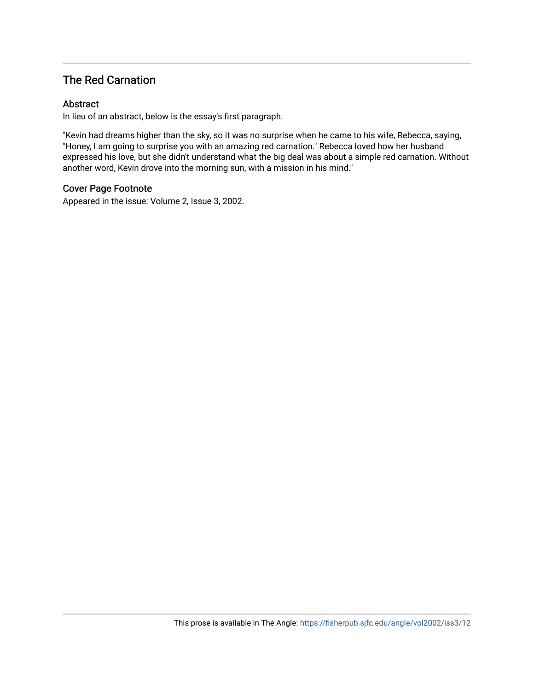### The Red Carnation

#### Abstract

In lieu of an abstract, below is the essay's first paragraph.

"Kevin had dreams higher than the sky, so it was no surprise when he came to his wife, Rebecca, saying, "Honey, I am going to surprise you with an amazing red carnation." Rebecca loved how her husband expressed his love, but she didn't understand what the big deal was about a simple red carnation. Without another word, Kevin drove into the morning sun, with a mission in his mind."

#### Cover Page Footnote

Appeared in the issue: Volume 2, Issue 3, 2002.